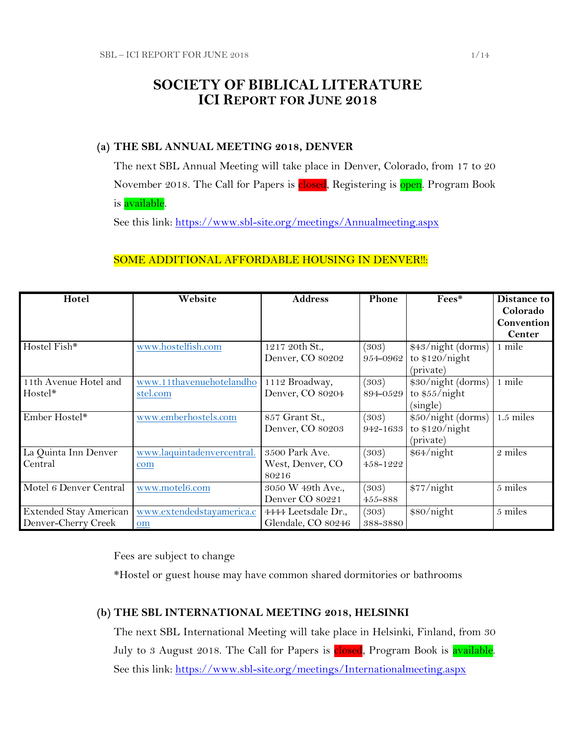# **SOCIETY OF BIBLICAL LITERATURE ICI REPORT FOR JUNE 2018**

## **(a) THE SBL ANNUAL MEETING 2018, DENVER**

The next SBL Annual Meeting will take place in Denver, Colorado, from 17 to 20 November 2018. The Call for Papers is **closed**, Registering is open. Program Book is available.

See this link:<https://www.sbl-site.org/meetings/Annualmeeting.aspx>

## SOME ADDITIONAL AFFORDABLE HOUSING IN DENVER !!:

| Hotel                  | Website                    | <b>Address</b>      | Phone    | Fees*              | Distance to   |
|------------------------|----------------------------|---------------------|----------|--------------------|---------------|
|                        |                            |                     |          |                    | Colorado      |
|                        |                            |                     |          |                    | Convention    |
|                        |                            |                     |          |                    | <b>Center</b> |
| Hostel Fish*           | www.hostelfish.com         | 1217 20th St.,      | (303)    | \$43/night (dorms) | 1 mile        |
|                        |                            | Denver, CO 80202    | 954-0962 | to $$120/night$    |               |
|                        |                            |                     |          | (private)          |               |
| 11th Avenue Hotel and  | www.11thavenuehotelandho   | 1112 Broadway,      | (303)    | \$30/night (dorms) | 1 mile        |
| Hostel*                | stel.com                   | Denver, CO 80204    | 894-0529 | to $$55/night$     |               |
|                        |                            |                     |          | (single)           |               |
| Ember Hostel*          | www.emberhostels.com       | 857 Grant St.,      | (303)    | \$50/night (dorms) | $1.5$ miles   |
|                        |                            | Denver, CO 80203    | 942-1633 | to $$120/night$    |               |
|                        |                            |                     |          | (private)          |               |
| La Quinta Inn Denver   | www.laquintadenvercentral. | 3500 Park Ave.      | (303)    | \$64/night         | 2 miles       |
| Central                | com                        | West, Denver, CO    | 458-1222 |                    |               |
|                        |                            | 80216               |          |                    |               |
| Motel 6 Denver Central | www.motel6.com             | 3050 W 49th Ave.,   | (303)    | \$77/night         | 5 miles       |
|                        |                            | Denver CO 80221     | 455-888  |                    |               |
| Extended Stay American | www.extendedstayamerica.c  | 4444 Leetsdale Dr., | (303)    | \$80/night         | 5 miles       |
| Denver-Cherry Creek    | om                         | Glendale, CO 80246  | 388-3880 |                    |               |

Fees are subject to change

\*Hostel or guest house may have common shared dormitories or bathrooms

## **(b) THE SBL INTERNATIONAL MEETING 2018, HELSINKI**

The next SBL International Meeting will take place in Helsinki, Finland, from 30 July to 3 August 2018. The Call for Papers is closed, Program Book is available. See this link:<https://www.sbl-site.org/meetings/Internationalmeeting.aspx>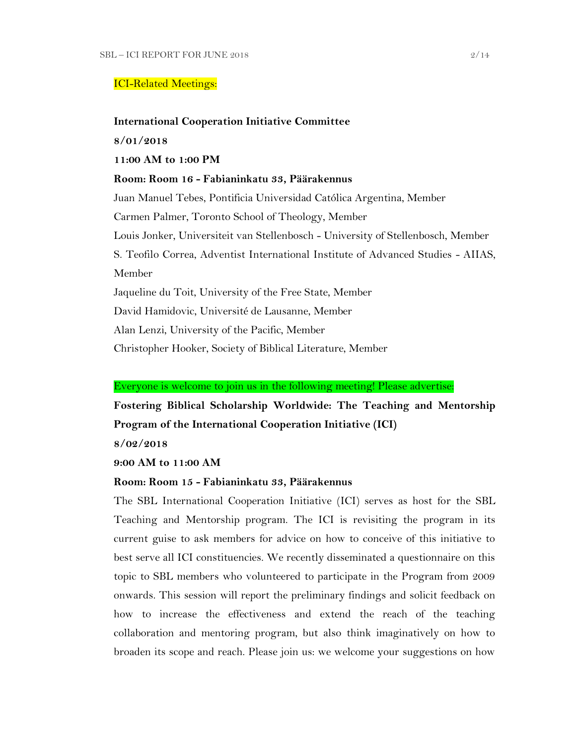### ICI-Related Meetings:

### **International Cooperation Initiative Committee**

**8/01/2018**

### **11:00 AM to 1:00 PM**

**Room: Room 16 - Fabianinkatu 33, Päärakennus**

Juan Manuel Tebes, Pontificia Universidad Católica Argentina, Member Carmen Palmer, Toronto School of Theology, Member Louis Jonker, Universiteit van Stellenbosch - University of Stellenbosch, Member S. Teofilo Correa, Adventist International Institute of Advanced Studies - AIIAS, Member Jaqueline du Toit, University of the Free State, Member David Hamidovic, Université de Lausanne, Member Alan Lenzi, University of the Pacific, Member

Christopher Hooker, Society of Biblical Literature, Member

### Everyone is welcome to join us in the following meeting! Please advertise:

**Fostering Biblical Scholarship Worldwide: The Teaching and Mentorship Program of the International Cooperation Initiative (ICI)**

**8/02/2018**

**9:00 AM to 11:00 AM**

### **Room: Room 15 - Fabianinkatu 33, Päärakennus**

The SBL International Cooperation Initiative (ICI) serves as host for the SBL Teaching and Mentorship program. The ICI is revisiting the program in its current guise to ask members for advice on how to conceive of this initiative to best serve all ICI constituencies. We recently disseminated a questionnaire on this topic to SBL members who volunteered to participate in the Program from 2009 onwards. This session will report the preliminary findings and solicit feedback on how to increase the effectiveness and extend the reach of the teaching collaboration and mentoring program, but also think imaginatively on how to broaden its scope and reach. Please join us: we welcome your suggestions on how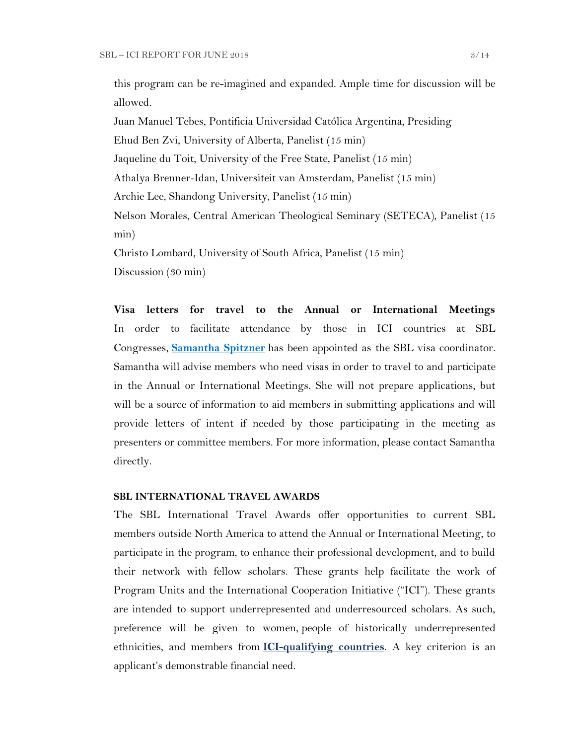this program can be re-imagined and expanded. Ample time for discussion will be allowed.

Juan Manuel Tebes, Pontificia Universidad Católica Argentina, Presiding Ehud Ben Zvi, University of Alberta, Panelist (15 min) Jaqueline du Toit, University of the Free State, Panelist (15 min) Athalya Brenner-Idan, Universiteit van Amsterdam, Panelist (15 min) Archie Lee, Shandong University, Panelist (15 min) Nelson Morales, Central American Theological Seminary (SETECA), Panelist (15 min) Christo Lombard, University of South Africa, Panelist (15 min)

Discussion (30 min)

**Visa letters for travel to the Annual or International Meetings** In order to facilitate attendance by those in ICI countries at SBL Congresses, **[Samantha Spitzner](mailto:samantha.spitzner@sbl-site.org)** has been appointed as the SBL visa coordinator. Samantha will advise members who need visas in order to travel to and participate in the Annual or International Meetings. She will not prepare applications, but will be a source of information to aid members in submitting applications and will provide letters of intent if needed by those participating in the meeting as presenters or committee members. For more information, please contact Samantha directly.

### **SBL INTERNATIONAL TRAVEL AWARDS**

The SBL International Travel Awards offer opportunities to current SBL members outside North America to attend the Annual or International Meeting, to participate in the program, to enhance their professional development, and to build their network with fellow scholars. These grants help facilitate the work of Program Units and the International Cooperation Initiative ("ICI"). These grants are intended to support underrepresented and underresourced scholars. As such, preference will be given to women, people of historically underrepresented ethnicities, and members from **[ICI-qualifying countries](https://www.sbl-site.org/assets/pdfs/ICIcountries.pdf)**. A key criterion is an applicant's demonstrable financial need.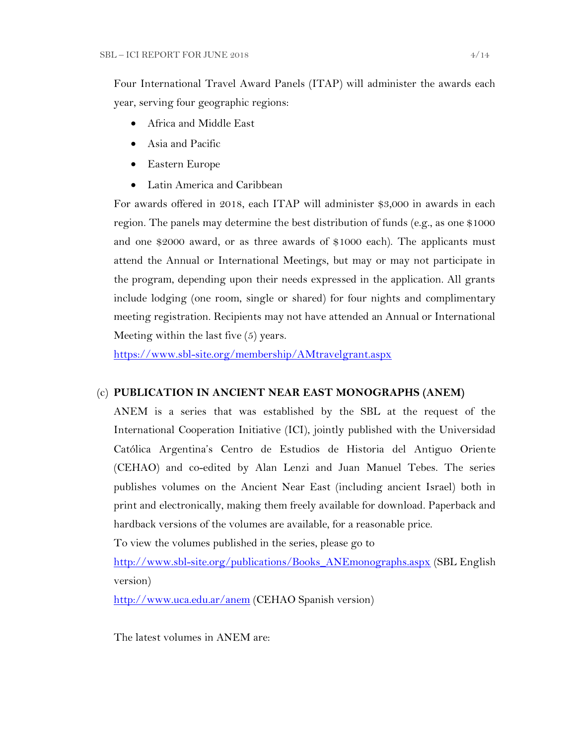Four International Travel Award Panels (ITAP) will administer the awards each year, serving four geographic regions:

- Africa and Middle East
- Asia and Pacific
- Eastern Europe
- Latin America and Caribbean

For awards offered in 2018, each ITAP will administer \$3,000 in awards in each region. The panels may determine the best distribution of funds (e.g., as one \$1000 and one \$2000 award, or as three awards of \$1000 each). The applicants must attend the Annual or International Meetings, but may or may not participate in the program, depending upon their needs expressed in the application. All grants include lodging (one room, single or shared) for four nights and complimentary meeting registration. Recipients may not have attended an Annual or International Meeting within the last five (5) years.

<https://www.sbl-site.org/membership/AMtravelgrant.aspx>

### (c) **PUBLICATION IN [ANCIENT NEAR EAST MONOGRAPHS](http://www.sbl-site.org/publications/Books_ANEmonographs.aspx) (ANEM)**

ANEM is a series that was established by the SBL at the request of the International Cooperation Initiative (ICI), jointly published with the Universidad Católica Argentina's Centro de Estudios de Historia del Antiguo Oriente (CEHAO) and co-edited by Alan Lenzi and Juan Manuel Tebes. The series publishes volumes on the Ancient Near East (including ancient Israel) both in print and electronically, making them freely available for download. Paperback and hardback versions of the volumes are available, for a reasonable price.

To view the volumes published in the series, please go to

[http://www.sbl-site.org/publications/Books\\_ANEmonographs.aspx](http://www.sbl-site.org/publications/Books_ANEmonographs.aspx) (SBL English version)

<http://www.uca.edu.ar/anem> (CEHAO Spanish version)

The latest volumes in ANEM are: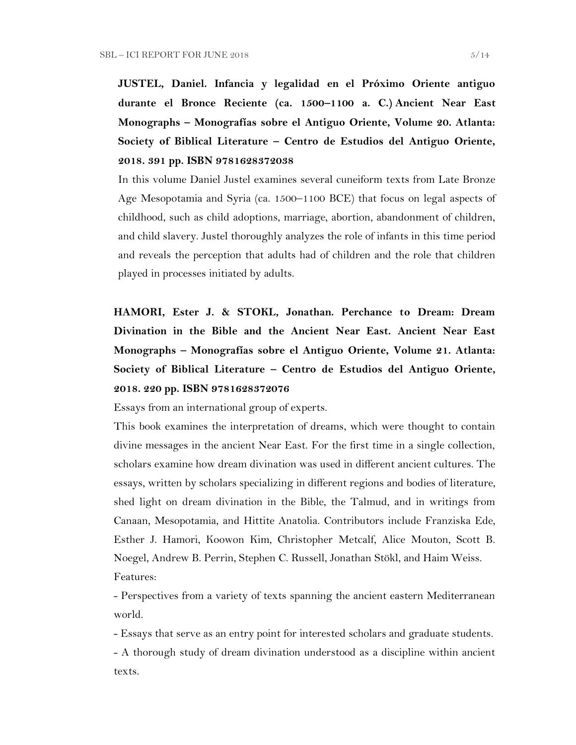**JUSTEL, Daniel. Infancia y legalidad en el Próximo Oriente antiguo durante el Bronce Reciente (ca. 1500–1100 a. C.) Ancient Near East Monographs – Monografías sobre el Antiguo Oriente, Volume 20. Atlanta: Society of Biblical Literature – Centro de Estudios del Antiguo Oriente, 2018. 391 pp. ISBN 9781628372038**

In this volume Daniel Justel examines several cuneiform texts from Late Bronze Age Mesopotamia and Syria (ca. 1500–1100 BCE) that focus on legal aspects of childhood, such as child adoptions, marriage, abortion, abandonment of children, and child slavery. Justel thoroughly analyzes the role of infants in this time period and reveals the perception that adults had of children and the role that children played in processes initiated by adults.

**HAMORI, Ester J. & STOKL, Jonathan. Perchance to Dream: Dream Divination in the Bible and the Ancient Near East. Ancient Near East Monographs – Monografías sobre el Antiguo Oriente, Volume 21. Atlanta: Society of Biblical Literature – Centro de Estudios del Antiguo Oriente, 2018. 220 pp. ISBN 9781628372076**

Essays from an international group of experts.

This book examines the interpretation of dreams, which were thought to contain divine messages in the ancient Near East. For the first time in a single collection, scholars examine how dream divination was used in different ancient cultures. The essays, written by scholars specializing in different regions and bodies of literature, shed light on dream divination in the Bible, the Talmud, and in writings from Canaan, Mesopotamia, and Hittite Anatolia. Contributors include Franziska Ede, Esther J. Hamori, Koowon Kim, Christopher Metcalf, Alice Mouton, Scott B. Noegel, Andrew B. Perrin, Stephen C. Russell, Jonathan Stökl, and Haim Weiss. Features:

- Perspectives from a variety of texts spanning the ancient eastern Mediterranean world.

- Essays that serve as an entry point for interested scholars and graduate students.

- A thorough study of dream divination understood as a discipline within ancient texts.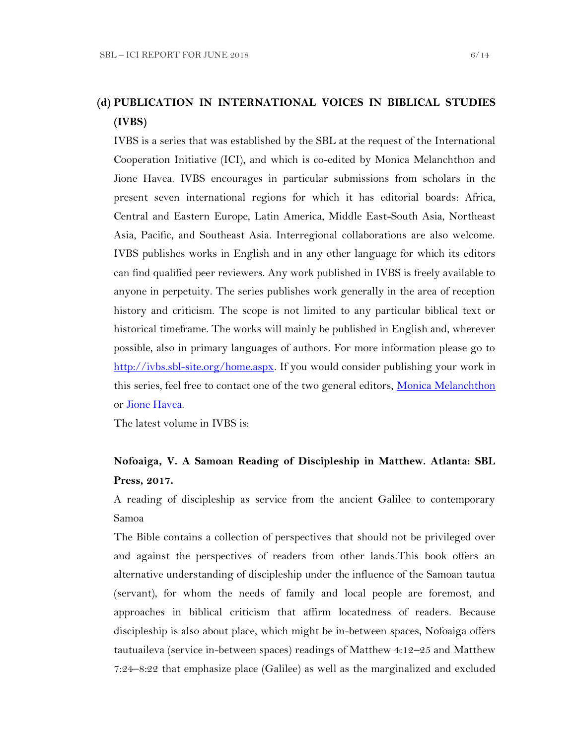# **(d) PUBLICATION IN INTERNATIONAL VOICES IN BIBLICAL STUDIES (IVBS)**

IVBS is a series that was established by the SBL at the request of the International Cooperation Initiative (ICI), and which is co-edited by Monica Melanchthon and Jione Havea. IVBS encourages in particular submissions from scholars in the present seven international regions for which it has editorial boards: Africa, Central and Eastern Europe, Latin America, Middle East-South Asia, Northeast Asia, Pacific, and Southeast Asia. Interregional collaborations are also welcome. IVBS publishes works in English and in any other language for which its editors can find qualified peer reviewers. Any work published in IVBS is freely available to anyone in perpetuity. The series publishes work generally in the area of reception history and criticism. The scope is not limited to any particular biblical text or historical timeframe. The works will mainly be published in English and, wherever possible, also in primary languages of authors. For more information please go to [http://ivbs.sbl-site.org/home.aspx.](http://ivbs.sbl-site.org/home.aspx) If you would consider publishing your work in this series, feel free to contact one of the two general editors, [Monica Melanchthon](mailto:ivbs2010@gmail.com) or [Jione Havea.](mailto:jioneh@nsw.uca.org.au)

The latest volume in IVBS is:

# **Nofoaiga, V. A Samoan Reading of Discipleship in Matthew. Atlanta: SBL Press, 2017.**

A reading of discipleship as service from the ancient Galilee to contemporary Samoa

The Bible contains a collection of perspectives that should not be privileged over and against the perspectives of readers from other lands.This book offers an alternative understanding of discipleship under the influence of the Samoan tautua (servant), for whom the needs of family and local people are foremost, and approaches in biblical criticism that affirm locatedness of readers. Because discipleship is also about place, which might be in-between spaces, Nofoaiga offers tautuaileva (service in-between spaces) readings of Matthew 4:12–25 and Matthew 7:24–8:22 that emphasize place (Galilee) as well as the marginalized and excluded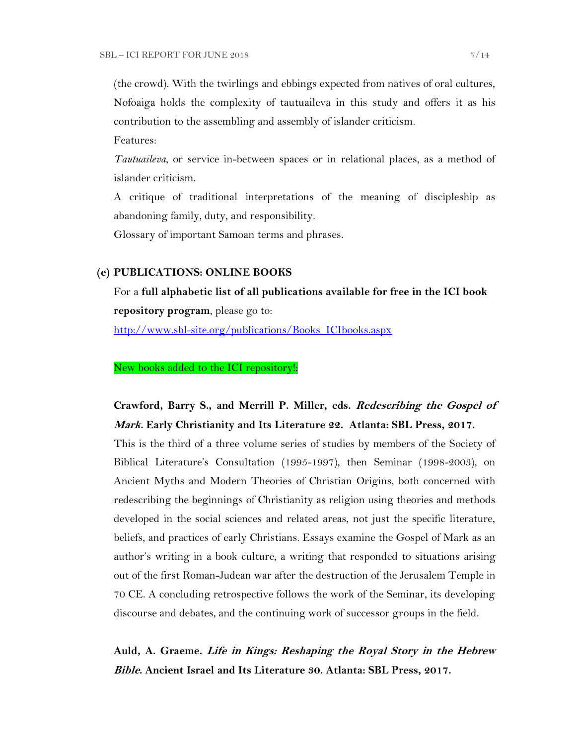(the crowd). With the twirlings and ebbings expected from natives of oral cultures, Nofoaiga holds the complexity of tautuaileva in this study and offers it as his contribution to the assembling and assembly of islander criticism.

Features:

*Tautuaileva*, or service in-between spaces or in relational places, as a method of islander criticism.

A critique of traditional interpretations of the meaning of discipleship as abandoning family, duty, and responsibility.

Glossary of important Samoan terms and phrases.

### **(e) PUBLICATIONS: ONLINE BOOKS**

For a **full alphabetic list of all publications available for free in the ICI book repository program**, please go to: [http://www.sbl-site.org/publications/Books\\_ICIbooks.aspx](http://www.sbl-site.org/publications/Books_ICIbooks.aspx)

New books added to the ICI repository!:

# **Crawford, Barry S., and Merrill P. Miller, eds. Redescribing the Gospel of Mark. Early Christianity and Its Literature 22. Atlanta: SBL Press, 2017.**

This is the third of a three volume series of studies by members of the Society of Biblical Literature's Consultation (1995-1997), then Seminar (1998-2003), on Ancient Myths and Modern Theories of Christian Origins, both concerned with redescribing the beginnings of Christianity as religion using theories and methods developed in the social sciences and related areas, not just the specific literature, beliefs, and practices of early Christians. Essays examine the Gospel of Mark as an author's writing in a book culture, a writing that responded to situations arising out of the first Roman-Judean war after the destruction of the Jerusalem Temple in 70 CE. A concluding retrospective follows the work of the Seminar, its developing discourse and debates, and the continuing work of successor groups in the field.

**Auld, A. Graeme. Life in Kings: Reshaping the Royal Story in the Hebrew Bible. Ancient Israel and Its Literature 30. Atlanta: SBL Press, 2017.**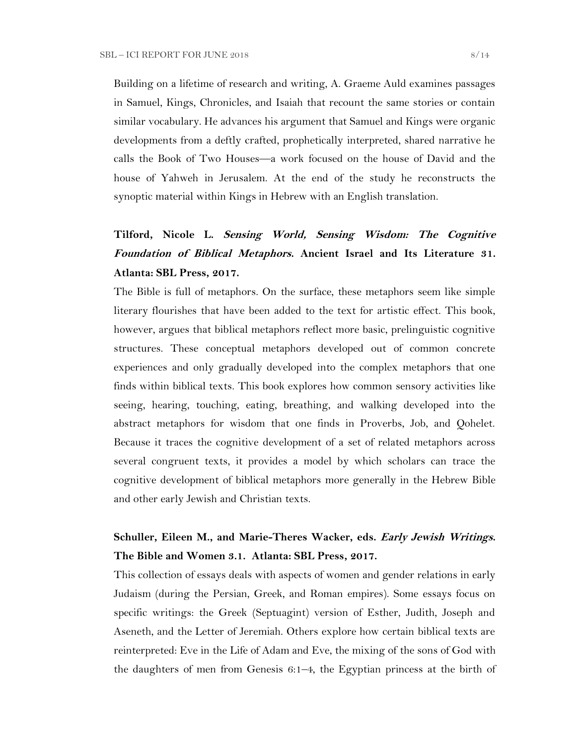Building on a lifetime of research and writing, A. Graeme Auld examines passages in Samuel, Kings, Chronicles, and Isaiah that recount the same stories or contain similar vocabulary. He advances his argument that Samuel and Kings were organic developments from a deftly crafted, prophetically interpreted, shared narrative he calls the Book of Two Houses—a work focused on the house of David and the house of Yahweh in Jerusalem. At the end of the study he reconstructs the synoptic material within Kings in Hebrew with an English translation.

# **Tilford, Nicole L. Sensing World, Sensing Wisdom: The Cognitive Foundation of Biblical Metaphors. Ancient Israel and Its Literature 31. Atlanta: SBL Press, 2017.**

The Bible is full of metaphors. On the surface, these metaphors seem like simple literary flourishes that have been added to the text for artistic effect. This book, however, argues that biblical metaphors reflect more basic, prelinguistic cognitive structures. These conceptual metaphors developed out of common concrete experiences and only gradually developed into the complex metaphors that one finds within biblical texts. This book explores how common sensory activities like seeing, hearing, touching, eating, breathing, and walking developed into the abstract metaphors for wisdom that one finds in Proverbs, Job, and Qohelet. Because it traces the cognitive development of a set of related metaphors across several congruent texts, it provides a model by which scholars can trace the cognitive development of biblical metaphors more generally in the Hebrew Bible and other early Jewish and Christian texts.

## **Schuller, Eileen M., and Marie-Theres Wacker, eds. Early Jewish Writings. The Bible and Women 3.1. Atlanta: SBL Press, 2017.**

This collection of essays deals with aspects of women and gender relations in early Judaism (during the Persian, Greek, and Roman empires). Some essays focus on specific writings: the Greek (Septuagint) version of Esther, Judith, Joseph and Aseneth, and the Letter of Jeremiah. Others explore how certain biblical texts are reinterpreted: Eve in the Life of Adam and Eve, the mixing of the sons of God with the daughters of men from Genesis 6:1–4, the Egyptian princess at the birth of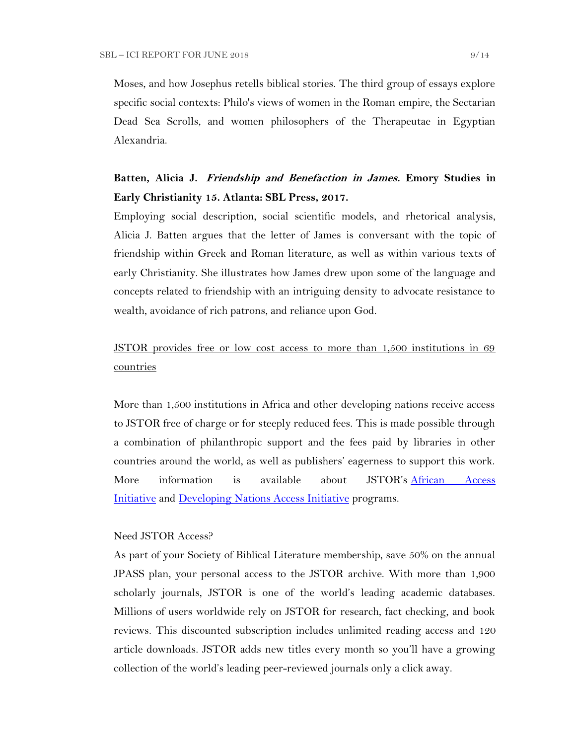Moses, and how Josephus retells biblical stories. The third group of essays explore specific social contexts: Philo's views of women in the Roman empire, the Sectarian Dead Sea Scrolls, and women philosophers of the Therapeutae in Egyptian Alexandria.

# **Batten, Alicia J. Friendship and Benefaction in James. Emory Studies in Early Christianity 15. Atlanta: SBL Press, 2017.**

Employing social description, social scientific models, and rhetorical analysis, Alicia J. Batten argues that the letter of James is conversant with the topic of friendship within Greek and Roman literature, as well as within various texts of early Christianity. She illustrates how James drew upon some of the language and concepts related to friendship with an intriguing density to advocate resistance to wealth, avoidance of rich patrons, and reliance upon God.

# JSTOR provides free or low cost access to more than 1,500 institutions in 69 countries

More than 1,500 institutions in Africa and other developing nations receive access to JSTOR free of charge or for steeply reduced fees. This is made possible through a combination of philanthropic support and the fees paid by libraries in other countries around the world, as well as publishers' eagerness to support this work. More information is available about JSTOR's [African Access](http://about.jstor.org/libraries/african-access-initiative)  [Initiative](http://about.jstor.org/libraries/african-access-initiative) and [Developing Nations Access Initiative](http://about.jstor.org/libraries/developing-nations-access-initiative) programs.

#### Need JSTOR Access?

As part of your Society of Biblical Literature membership, save 50% on the annual JPASS plan, your personal access to the JSTOR archive. With more than 1,900 scholarly journals, JSTOR is one of the world's leading academic databases. Millions of users worldwide rely on JSTOR for research, fact checking, and book reviews. This discounted subscription includes unlimited reading access and 120 article downloads. JSTOR adds new titles every month so you'll have a growing collection of the world's leading peer-reviewed journals only a click away.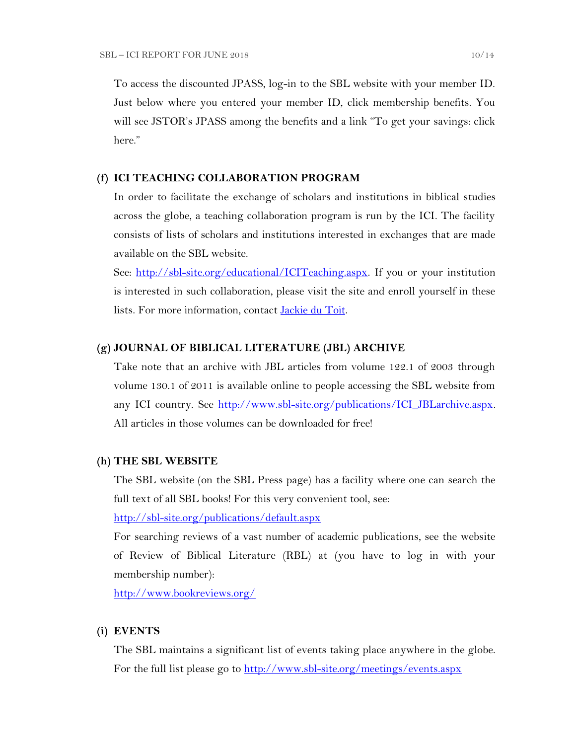To access the discounted JPASS, log-in to the SBL website with your member ID. Just below where you entered your member ID, click membership benefits. You will see JSTOR's JPASS among the benefits and a link "To get your savings: click" here."

### **(f) ICI TEACHING COLLABORATION PROGRAM**

In order to facilitate the exchange of scholars and institutions in biblical studies across the globe, a teaching collaboration program is run by the ICI. The facility consists of lists of scholars and institutions interested in exchanges that are made available on the SBL website.

See: [http://sbl-site.org/educational/ICITeaching.aspx.](http://sbl-site.org/educational/ICITeaching.aspx) If you or your institution is interested in such collaboration, please visit the site and enroll yourself in these lists. For more information, contact [Jackie du Toit.](mailto:dutoitjs@ufs.ac.za)

### **(g) JOURNAL OF BIBLICAL LITERATURE (JBL) ARCHIVE**

Take note that an archive with JBL articles from volume 122.1 of 2003 through volume 130.1 of 2011 is available online to people accessing the SBL website from any ICI country. See [http://www.sbl-site.org/publications/ICI\\_JBLarchive.aspx.](http://www.sbl-site.org/publications/ICI_JBLarchive.aspx)  All articles in those volumes can be downloaded for free!

#### **(h) THE SBL WEBSITE**

The SBL website (on the SBL Press page) has a facility where one can search the full text of all SBL books! For this very convenient tool, see:

<http://sbl-site.org/publications/default.aspx>

For searching reviews of a vast number of academic publications, see the website of Review of Biblical Literature (RBL) at (you have to log in with your membership number):

<http://www.bookreviews.org/>

### **(i) EVENTS**

The SBL maintains a significant list of events taking place anywhere in the globe. For the full list please go to<http://www.sbl-site.org/meetings/events.aspx>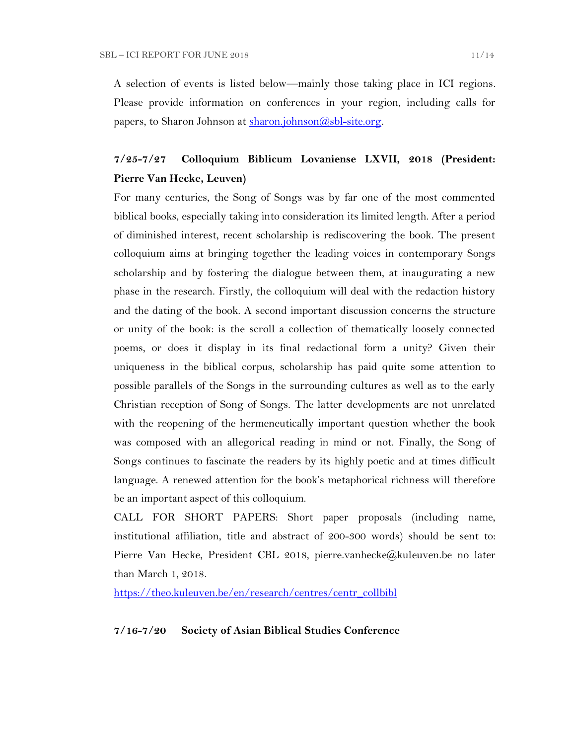A selection of events is listed below—mainly those taking place in ICI regions. Please provide information on conferences in your region, including calls for papers, to Sharon Johnson at  $\frac{\text{sharon.}(\partial s\text{bl-site.} \text{org.}}{\text{gl.}(\partial s\text{bl-site.} \text{org.}})$ 

# **7/25-7/27 Colloquium Biblicum Lovaniense LXVII, 2018 (President: Pierre Van Hecke, Leuven)**

For many centuries, the Song of Songs was by far one of the most commented biblical books, especially taking into consideration its limited length. After a period of diminished interest, recent scholarship is rediscovering the book. The present colloquium aims at bringing together the leading voices in contemporary Songs scholarship and by fostering the dialogue between them, at inaugurating a new phase in the research. Firstly, the colloquium will deal with the redaction history and the dating of the book. A second important discussion concerns the structure or unity of the book: is the scroll a collection of thematically loosely connected poems, or does it display in its final redactional form a unity? Given their uniqueness in the biblical corpus, scholarship has paid quite some attention to possible parallels of the Songs in the surrounding cultures as well as to the early Christian reception of Song of Songs. The latter developments are not unrelated with the reopening of the hermeneutically important question whether the book was composed with an allegorical reading in mind or not. Finally, the Song of Songs continues to fascinate the readers by its highly poetic and at times difficult language. A renewed attention for the book's metaphorical richness will therefore be an important aspect of this colloquium.

CALL FOR SHORT PAPERS: Short paper proposals (including name, institutional affiliation, title and abstract of 200-300 words) should be sent to: Pierre Van Hecke, President CBL 2018, pierre.vanhecke@kuleuven.be no later than March 1, 2018.

[https://theo.kuleuven.be/en/research/centres/centr\\_collbibl](https://theo.kuleuven.be/en/research/centres/centr_collbibl)

### **7/16-7/20 Society of Asian Biblical Studies Conference**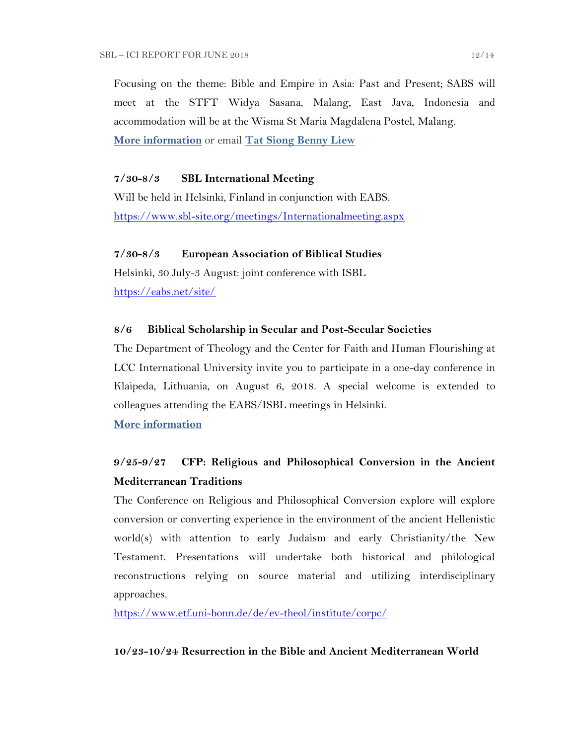Focusing on the theme: Bible and Empire in Asia: Past and Present; SABS will meet at the STFT Widya Sasana, Malang, East Java, Indonesia and accommodation will be at the Wisma St Maria Magdalena Postel, Malang. **[More information](http://www.sabs-site.org/)** or email **[Tat Siong Benny Liew](mailto:bliew@holycross.edu)**

### **7/30-8/3 SBL International Meeting**

Will be held in Helsinki, Finland in conjunction with EABS. <https://www.sbl-site.org/meetings/Internationalmeeting.aspx>

### **7/30-8/3 European Association of Biblical Studies**

Helsinki, 30 July-3 August: joint conference with ISBL <https://eabs.net/site/>

### **8/6 Biblical Scholarship in Secular and Post-Secular Societies**

The Department of Theology and the Center for Faith and Human Flourishing at LCC International University invite you to participate in a one-day conference in Klaipeda, Lithuania, on August 6, 2018. A special welcome is extended to colleagues attending the EABS/ISBL meetings in Helsinki.

**[More information](https://www.lcc.lt/home/academics/research/cfhf-events/august-conferences-2018)**

## **9/25-9/27 CFP: Religious and Philosophical Conversion in the Ancient Mediterranean Traditions**

The Conference on Religious and Philosophical Conversion explore will explore conversion or converting experience in the environment of the ancient Hellenistic world(s) with attention to early Judaism and early Christianity/the New Testament. Presentations will undertake both historical and philological reconstructions relying on source material and utilizing interdisciplinary approaches.

<https://www.etf.uni-bonn.de/de/ev-theol/institute/corpc/>

### **10/23-10/24 Resurrection in the Bible and Ancient Mediterranean World**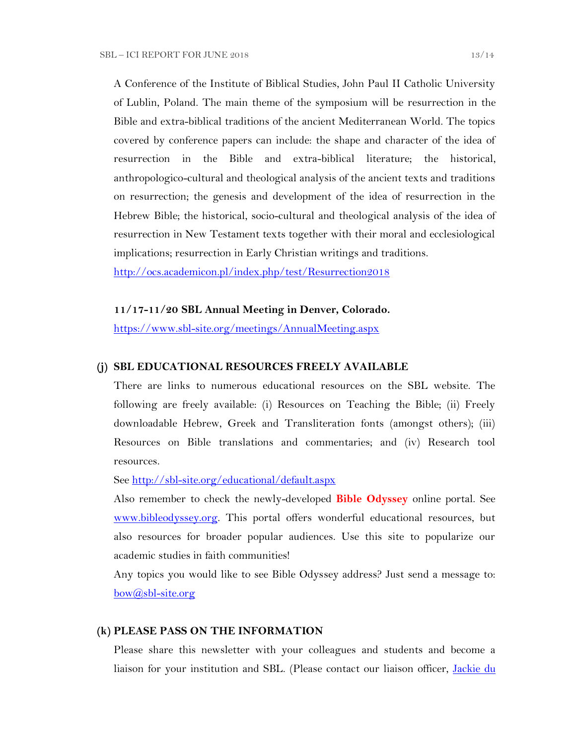A Conference of the Institute of Biblical Studies, John Paul II Catholic University of Lublin, Poland. The main theme of the symposium will be resurrection in the Bible and extra-biblical traditions of the ancient Mediterranean World. The topics covered by conference papers can include: the shape and character of the idea of resurrection in the Bible and extra-biblical literature; the historical, anthropologico-cultural and theological analysis of the ancient texts and traditions on resurrection; the genesis and development of the idea of resurrection in the Hebrew Bible; the historical, socio-cultural and theological analysis of the idea of resurrection in New Testament texts together with their moral and ecclesiological implications; resurrection in Early Christian writings and traditions.

<http://ocs.academicon.pl/index.php/test/Resurrection2018>

### **11/17-11/20 SBL Annual Meeting in Denver, Colorado.**

<https://www.sbl-site.org/meetings/AnnualMeeting.aspx>

## **(j) SBL EDUCATIONAL RESOURCES FREELY AVAILABLE**

There are links to numerous educational resources on the SBL website. The following are freely available: (i) Resources on Teaching the Bible; (ii) Freely downloadable Hebrew, Greek and Transliteration fonts (amongst others); (iii) Resources on Bible translations and commentaries; and (iv) Research tool resources.

See<http://sbl-site.org/educational/default.aspx>

Also remember to check the newly-developed **Bible Odyssey** online portal. See [www.bibleodyssey.org.](http://www.bibleodyssey.org/) This portal offers wonderful educational resources, but also resources for broader popular audiences. Use this site to popularize our academic studies in faith communities!

Any topics you would like to see Bible Odyssey address? Just send a message to:  $bow(*a*)$ sbl-site.org

### **(k) PLEASE PASS ON THE INFORMATION**

Please share this newsletter with your colleagues and students and become a liaison for your institution and SBL. (Please contact our liaison officer, [Jackie du](mailto:dutoitjs@ufs.ac.za)